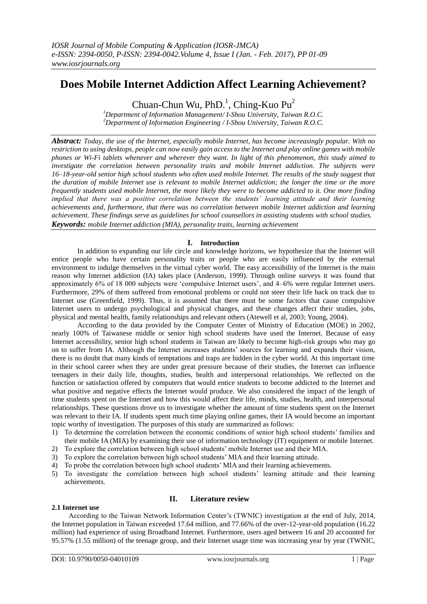# **Does Mobile Internet Addiction Affect Learning Achievement?**

Chuan-Chun Wu, PhD.<sup>1</sup>, Ching-Kuo Pu<sup>2</sup>

*<sup>1</sup>Department of Information Management/ I-Shou University, Taiwan R.O.C. <sup>2</sup>Department of Information Engineering / I-Shou University, Taiwan R.O.C.*

*Abstract: Today, the use of the Internet, especially mobile Internet, has become increasingly popular. With no restriction to using desktops, people can now easily gain access to the Internet and play online games with mobile phones or Wi-Fi tablets whenever and wherever they want. In light of this phenomenon, this study aimed to investigate the correlation between personality traits and mobile Internet addiction. The subjects were 16–18-year-old senior high school students who often used mobile Internet. The results of the study suggest that the duration of mobile Internet use is relevant to mobile Internet addiction; the longer the time or the more frequently students used mobile Internet, the more likely they were to become addicted to it. One more finding implied that there was a positive correlation between the students' learning attitude and their learning achievements and, furthermore, that there was no correlation between mobile Internet addiction and learning achievement. These findings serve as guidelines for school counsellors in assisting students with school studies. Keywords: mobile Internet addiction (MIA), personality traits, learning achievement*

# **I. Introduction**

In addition to expanding our life circle and knowledge horizons, we hypothesize that the Internet will entice people who have certain personality traits or people who are easily influenced by the external environment to indulge themselves in the virtual cyber world. The easy accessibility of the Internet is the main reason why Internet addiction (IA) takes place (Anderson, 1999). Through online surveys it was found that approximately 6% of 18 000 subjects were 'compulsive Internet users', and 4–6% were regular Internet users. Furthermore, 29% of them suffered from emotional problems or could not steer their life back on track due to Internet use (Greenfield, 1999). Thus, it is assumed that there must be some factors that cause compulsive Internet users to undergo psychological and physical changes, and these changes affect their studies, jobs, physical and mental health, family relationships and relevant others (Atewell et al, 2003; Young, 2004).

According to the data provided by the Computer Center of Ministry of Education (MOE) in 2002, nearly 100% of Taiwanese middle or senior high school students have used the Internet. Because of easy Internet accessibility, senior high school students in Taiwan are likely to become high-risk groups who may go on to suffer from IA. Although the Internet increases students' sources for learning and expands their vision, there is no doubt that many kinds of temptations and traps are hidden in the cyber world. At this important time in their school career when they are under great pressure because of their studies, the Internet can influence teenagers in their daily life, thoughts, studies, health and interpersonal relationships. We reflected on the function or satisfaction offered by computers that would entice students to become addicted to the Internet and what positive and negative effects the Internet would produce. We also considered the impact of the length of time students spent on the Internet and how this would affect their life, minds, studies, health, and interpersonal relationships. These questions drove us to investigate whether the amount of time students spent on the Internet was relevant to their IA. If students spent much time playing online games, their IA would become an important topic worthy of investigation. The purposes of this study are summarized as follows:

- 1) To determine the correlation between the economic conditions of senior high school students' families and their mobile IA (MIA) by examining their use of information technology (IT) equipment or mobile Internet.
- 2) To explore the correlation between high school students' mobile Internet use and their MIA.
- 3) To explore the correlation between high school students' MIA and their learning attitude.
- 4) To probe the correlation between high school students' MIA and their learning achievements.
- 5) To investigate the correlation between high school students' learning attitude and their learning achievements.

# **II. Literature review**

According to the Taiwan Network Information Center's (TWNIC) investigation at the end of July, 2014, the Internet population in Taiwan exceeded 17.64 million, and 77.66% of the over-12-year-old population (16.22 million) had experience of using Broadband Internet. Furthermore, users aged between 16 and 20 accounted for 95.57% (1.55 million) of the teenage group, and their Internet usage time was increasing year by year (TWNIC,

**2.1 Internet use**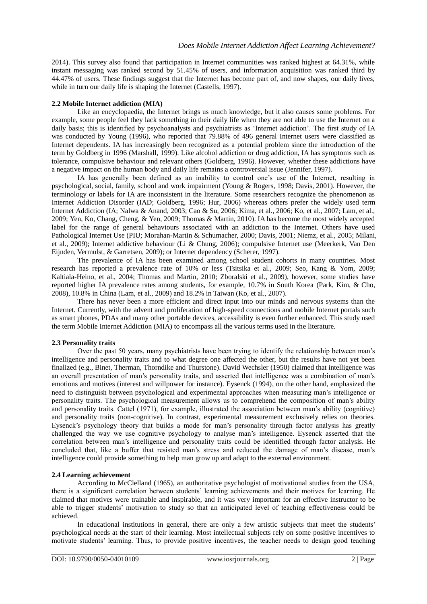2014). This survey also found that participation in Internet communities was ranked highest at 64.31%, while instant messaging was ranked second by 51.45% of users, and information acquisition was ranked third by 44.47% of users. These findings suggest that the Internet has become part of, and now shapes, our daily lives, while in turn our daily life is shaping the Internet (Castells, 1997).

## **2.2 Mobile Internet addiction (MIA)**

Like an encyclopaedia, the Internet brings us much knowledge, but it also causes some problems. For example, some people feel they lack something in their daily life when they are not able to use the Internet on a daily basis; this is identified by psychoanalysts and psychiatrists as 'Internet addiction'. The first study of IA was conducted by Young (1996), who reported that 79.88% of 496 general Internet users were classified as Internet dependents. IA has increasingly been recognized as a potential problem since the introduction of the term by Goldberg in 1996 (Marshall, 1999). Like alcohol addiction or drug addiction, IA has symptoms such as tolerance, compulsive behaviour and relevant others (Goldberg, 1996). However, whether these addictions have a negative impact on the human body and daily life remains a controversial issue (Jennifer, 1997).

IA has generally been defined as an inability to control one's use of the Internet, resulting in psychological, social, family, school and work impairment (Young & Rogers, 1998; Davis, 2001). However, the terminology or labels for IA are inconsistent in the literature. Some researchers recognize the phenomenon as Internet Addiction Disorder (IAD; Goldberg, 1996; Hur, 2006) whereas others prefer the widely used term Internet Addiction (IA; Nalwa & Anand, 2003; Cao & Su, 2006; Kima, et al., 2006; Ko, et al., 2007; Lam, et al., 2009; Yen, Ko, Chang, Cheng, & Yen, 2009; Thomas & Martin, 2010). IA has become the most widely accepted label for the range of general behaviours associated with an addiction to the Internet. Others have used Pathological Internet Use (PIU; Morahan-Martin & Schumacher, 2000; Davis, 2001; Niemz, et al., 2005; Milani, et al., 2009); Internet addictive behaviour (Li & Chung, 2006); compulsive Internet use (Meerkerk, Van Den Eijnden, Vermulst, & Garretsen, 2009); or Internet dependency (Scherer, 1997).

The prevalence of IA has been examined among school student cohorts in many countries. Most research has reported a prevalence rate of 10% or less (Tsitsika et al., 2009; Seo, Kang & Yom, 2009; Kaltiala-Heino, et al., 2004; Thomas and Martin, 2010; Zboralski et al., 2009), however, some studies have reported higher IA prevalence rates among students, for example, 10.7% in South Korea (Park, Kim, & Cho, 2008), 10.8% in China (Lam, et al., 2009) and 18.2% in Taiwan (Ko, et al., 2007).

There has never been a more efficient and direct input into our minds and nervous systems than the Internet. Currently, with the advent and proliferation of high-speed connections and mobile Internet portals such as smart phones, PDAs and many other portable devices, accessibility is even further enhanced. This study used the term Mobile Internet Addiction (MIA) to encompass all the various terms used in the literature.

#### **2.3 Personality traits**

Over the past 50 years, many psychiatrists have been trying to identify the relationship between man's intelligence and personality traits and to what degree one affected the other, but the results have not yet been finalized (e.g., Binet, Therman, Thorndike and Thurstone). David Wechsler (1950) claimed that intelligence was an overall presentation of man's personality traits, and asserted that intelligence was a combination of man's emotions and motives (interest and willpower for instance). Eysenck (1994), on the other hand, emphasized the need to distinguish between psychological and experimental approaches when measuring man's intelligence or personality traits. The psychological measurement allows us to comprehend the composition of man's ability and personality traits. Cattel (1971), for example, illustrated the association between man's ability (cognitive) and personality traits (non-cognitive). In contrast, experimental measurement exclusively relies on theories. Eysenck's psychology theory that builds a mode for man's personality through factor analysis has greatly challenged the way we use cognitive psychology to analyse man's intelligence. Eysenck asserted that the correlation between man's intelligence and personality traits could be identified through factor analysis. He concluded that, like a buffer that resisted man's stress and reduced the damage of man's disease, man's intelligence could provide something to help man grow up and adapt to the external environment.

# **2.4 Learning achievement**

According to McClelland (1965), an authoritative psychologist of motivational studies from the USA, there is a significant correlation between students' learning achievements and their motives for learning. He claimed that motives were trainable and inspirable, and it was very important for an effective instructor to be able to trigger students' motivation to study so that an anticipated level of teaching effectiveness could be achieved.

In educational institutions in general, there are only a few artistic subjects that meet the students' psychological needs at the start of their learning. Most intellectual subjects rely on some positive incentives to motivate students' learning. Thus, to provide positive incentives, the teacher needs to design good teaching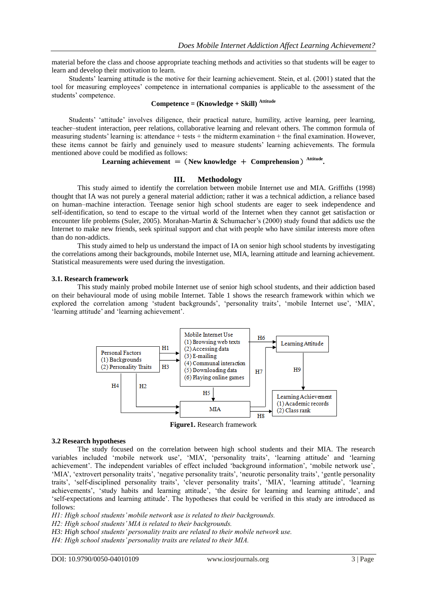material before the class and choose appropriate teaching methods and activities so that students will be eager to learn and develop their motivation to learn.

Students' learning attitude is the motive for their learning achievement. Stein, et al. (2001) stated that the tool for measuring employees' competence in international companies is applicable to the assessment of the students' competence.

# **Competence = (Knowledge + Skill) Attitude**

Students' 'attitude' involves diligence, their practical nature, humility, active learning, peer learning, teacher–student interaction, peer relations, collaborative learning and relevant others. The common formula of measuring students' learning is: attendance + tests + the midterm examination + the final examination. However, these items cannot be fairly and genuinely used to measure students' learning achievements. The formula mentioned above could be modified as follows:

## Learning achievement  $=$  (New knowledge  $+$  Comprehension)<sup>Attitude</sup>.

#### **III. Methodology**

This study aimed to identify the correlation between mobile Internet use and MIA. Griffiths (1998) thought that IA was not purely a general material addiction; rather it was a technical addiction, a reliance based on human–machine interaction. Teenage senior high school students are eager to seek independence and self-identification, so tend to escape to the virtual world of the Internet when they cannot get satisfaction or encounter life problems (Suler, 2005). Morahan-Martin & Schumacher's (2000) study found that addicts use the Internet to make new friends, seek spiritual support and chat with people who have similar interests more often than do non-addicts.

This study aimed to help us understand the impact of IA on senior high school students by investigating the correlations among their backgrounds, mobile Internet use, MIA, learning attitude and learning achievement. Statistical measurements were used during the investigation.

#### **3.1. Research framework**

This study mainly probed mobile Internet use of senior high school students, and their addiction based on their behavioural mode of using mobile Internet. Table 1 shows the research framework within which we explored the correlation among 'student backgrounds', 'personality traits', 'mobile Internet use', 'MIA', 'learning attitude' and 'learning achievement'.



**Figure1.** Research framework

#### **3.2 Research hypotheses**

The study focused on the correlation between high school students and their MIA. The research variables included 'mobile network use', 'MIA', 'personality traits', 'learning attitude' and 'learning achievement'. The independent variables of effect included 'background information', 'mobile network use', 'MIA', 'extrovert personality traits', 'negative personality traits', 'neurotic personality traits', 'gentle personality traits', 'self-disciplined personality traits', 'clever personality traits', 'MIA', 'learning attitude', 'learning achievements', 'study habits and learning attitude', 'the desire for learning and learning attitude', and 'self-expectations and learning attitude'. The hypotheses that could be verified in this study are introduced as follows:

*H1: High school students' mobile network use is related to their backgrounds.*

*H2: High school students' MIA is related to their backgrounds.*

*H3: High school students' personality traits are related to their mobile network use.*

*H4: High school students' personality traits are related to their MIA.*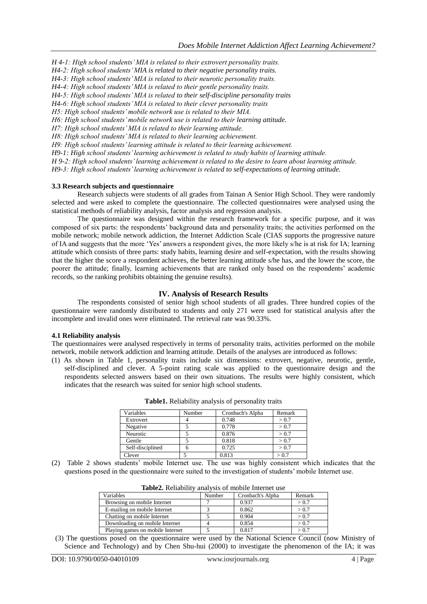*H 4-1: High school students' MIA is related to their extrovert personality traits.*

*H4-2: High school students' MIA is related to their negative personality traits.*

*H4-3: High school students' MIA is related to their neurotic personality traits.*

*H4-4: High school students' MIA is related to their gentle personality traits.*

*H4-5: High school students' MIA is related to their self-discipline personality traits*

*H4-6: High school students' MIA is related to their clever personality traits*

*H5: High school students' mobile network use is related to their MIA.*

*H6: High school students' mobile network use is related to their learning attitude.*

*H7: High school students' MIA is related to their learning attitude.*

*H8: High school students' MIA is related to their learning achievement.*

*H9: High school students' learning attitude is related to their learning achievement.*

*H9-1: High school students' learning achievement is related to study habits of learning attitude.*

*H 9-2: High school students' learning achievement is related to the desire to learn about learning attitude.*

*H9-3: High school students' learning achievement is related to self-expectations of learning attitude.*

#### **3.3 Research subjects and questionnaire**

Research subjects were students of all grades from Tainan A Senior High School. They were randomly selected and were asked to complete the questionnaire. The collected questionnaires were analysed using the statistical methods of reliability analysis, factor analysis and regression analysis.

The questionnaire was designed within the research framework for a specific purpose, and it was composed of six parts: the respondents' background data and personality traits; the activities performed on the mobile network; mobile network addiction, the Internet Addiction Scale (CIAS supports the progressive nature of IA and suggests that the more 'Yes' answers a respondent gives, the more likely s/he is at risk for IA; learning attitude which consists of three parts: study habits, learning desire and self-expectation, with the results showing that the higher the score a respondent achieves, the better learning attitude s/he has, and the lower the score, the poorer the attitude; finally, learning achievements that are ranked only based on the respondents' academic records, so the ranking prohibits obtaining the genuine results).

#### **IV. Analysis of Research Results**

The respondents consisted of senior high school students of all grades. Three hundred copies of the questionnaire were randomly distributed to students and only 271 were used for statistical analysis after the incomplete and invalid ones were eliminated. The retrieval rate was 90.33%.

#### **4.1 Reliability analysis**

The questionnaires were analysed respectively in terms of personality traits, activities performed on the mobile network, mobile network addiction and learning attitude. Details of the analyses are introduced as follows:

(1) As shown in Table 1, personality traits include six dimensions: extrovert, negative, neurotic, gentle, self-disciplined and clever. A 5-point rating scale was applied to the questionnaire design and the respondents selected answers based on their own situations. The results were highly consistent, which indicates that the research was suited for senior high school students.

| Variables        | Number | Cronbach's Alpha | Remark |
|------------------|--------|------------------|--------|
| Extrovert        |        | 0.748            | > 0.7  |
| Negative         |        | 0.778            | > 0.7  |
| Neurotic         |        | 0.876            | > 0.7  |
| Gentle           |        | 0.818            | > 0.7  |
| Self-disciplined |        | 0.725            | > 0.7  |
| Clever           |        | 0.813            |        |

**Table1.** Reliability analysis of personality traits

(2) Table 2 shows students' mobile Internet use. The use was highly consistent which indicates that the questions posed in the questionnaire were suited to the investigation of students' mobile Internet use.

| Variables                        | Number | Cronbach's Alpha | Remark |
|----------------------------------|--------|------------------|--------|
| Browsing on mobile Internet      |        | 0.937            | > 0.7  |
| E-mailing on mobile Internet     |        | 0.862            | > 0.7  |
| Chatting on mobile Internet      |        | 0.904            | > 0.7  |
| Downloading on mobile Internet   |        | 0.854            | > 0.7  |
| Playing games on mobile Internet |        | 0.817            | > 0.7  |

**Table2.** Reliability analysis of mobile Internet use

(3) The questions posed on the questionnaire were used by the National Science Council (now Ministry of Science and Technology) and by Chen Shu-hui (2000) to investigate the phenomenon of the IA; it was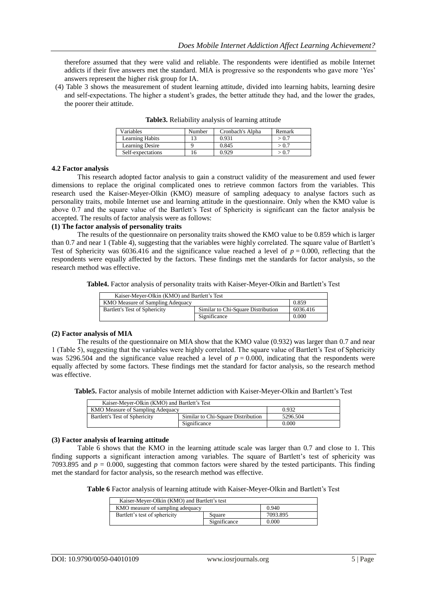therefore assumed that they were valid and reliable. The respondents were identified as mobile Internet addicts if their five answers met the standard. MIA is progressive so the respondents who gave more 'Yes' answers represent the higher risk group for IA.

(4) Table 3 shows the measurement of student learning attitude, divided into learning habits, learning desire and self-expectations. The higher a student's grades, the better attitude they had, and the lower the grades, the poorer their attitude.

| Variables         | Number | Cronbach's Alpha | Remark |
|-------------------|--------|------------------|--------|
| Learning Habits   |        | 0.931            | > 0.7  |
| Learning Desire   |        | 0.845            | > 0.7  |
| Self-expectations |        | 0.929            | > 0.7  |

**Table3.** Reliability analysis of learning attitude

#### **4.2 Factor analysis**

This research adopted factor analysis to gain a construct validity of the measurement and used fewer dimensions to replace the original complicated ones to retrieve common factors from the variables. This research used the Kaiser-Meyer-Olkin (KMO) measure of sampling adequacy to analyse factors such as personality traits, mobile Internet use and learning attitude in the questionnaire. Only when the KMO value is above 0.7 and the square value of the Bartlett's Test of Sphericity is significant can the factor analysis be accepted. The results of factor analysis were as follows:

# **(1) The factor analysis of personality traits**

The results of the questionnaire on personality traits showed the KMO value to be 0.859 which is larger than 0.7 and near 1 (Table 4), suggesting that the variables were highly correlated. The square value of Bartlett's Test of Sphericity was 6036.416 and the significance value reached a level of  $p = 0.000$ , reflecting that the respondents were equally affected by the factors. These findings met the standards for factor analysis, so the research method was effective.

**Table4.** Factor analysis of personality traits with Kaiser-Meyer-Olkin and Bartlett's Test

| Kaiser-Meyer-Olkin (KMO) and Bartlett's Test |                                    |          |
|----------------------------------------------|------------------------------------|----------|
| 0.859<br>KMO Measure of Sampling Adequacy    |                                    |          |
| Bartlett's Test of Sphericity                | Similar to Chi-Square Distribution | 6036.416 |
|                                              | Significance                       | 0.000    |

#### **(2) Factor analysis of MIA**

The results of the questionnaire on MIA show that the KMO value (0.932) was larger than 0.7 and near 1 (Table 5), suggesting that the variables were highly correlated. The square value of Bartlett's Test of Sphericity was 5296.504 and the significance value reached a level of  $p = 0.000$ , indicating that the respondents were equally affected by some factors. These findings met the standard for factor analysis, so the research method was effective.

**Table5.** Factor analysis of mobile Internet addiction with Kaiser-Meyer-Olkin and Bartlett's Test

| Kaiser-Mever-Olkin (KMO) and Bartlett's Test |                                    |          |  |
|----------------------------------------------|------------------------------------|----------|--|
| KMO Measure of Sampling Adequacy             |                                    | 0.932    |  |
| Bartlett's Test of Sphericity                | Similar to Chi-Square Distribution | 5296.504 |  |
|                                              | Significance                       | 0.000    |  |

## **(3) Factor analysis of learning attitude**

Table 6 shows that the KMO in the learning attitude scale was larger than 0.7 and close to 1. This finding supports a significant interaction among variables. The square of Bartlett's test of sphericity was 7093.895 and  $p = 0.000$ , suggesting that common factors were shared by the tested participants. This finding met the standard for factor analysis, so the research method was effective.

**Table 6** Factor analysis of learning attitude with Kaiser-Meyer-Olkin and Bartlett's Test

| Kaiser-Meyer-Olkin (KMO) and Bartlett's test |              |          |  |
|----------------------------------------------|--------------|----------|--|
| KMO measure of sampling adequacy             |              | 0.940    |  |
| Bartlett's test of sphericity                | Square       | 7093.895 |  |
|                                              | Significance | 0.000    |  |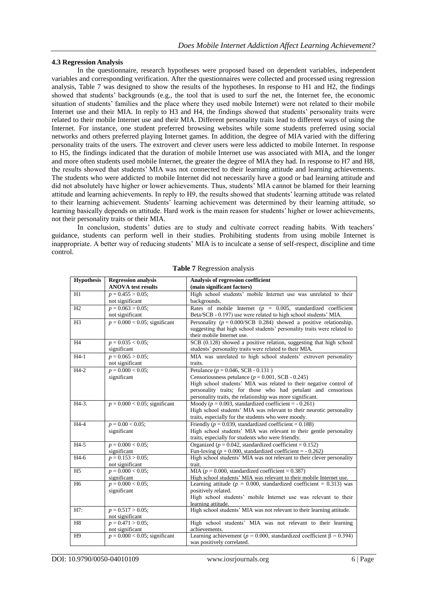## **4.3 Regression Analysis**

In the questionnaire, research hypotheses were proposed based on dependent variables, independent variables and corresponding verification. After the questionnaires were collected and processed using regression analysis, Table 7 was designed to show the results of the hypotheses. In response to H1 and H2, the findings showed that students' backgrounds (e.g., the tool that is used to surf the net, the Internet fee, the economic situation of students' families and the place where they used mobile Internet) were not related to their mobile Internet use and their MIA. In reply to H3 and H4, the findings showed that students' personality traits were related to their mobile Internet use and their MIA. Different personality traits lead to different ways of using the Internet. For instance, one student preferred browsing websites while some students preferred using social networks and others preferred playing Internet games. In addition, the degree of MIA varied with the differing personality traits of the users. The extrovert and clever users were less addicted to mobile Internet. In response to H5, the findings indicated that the duration of mobile Internet use was associated with MIA, and the longer and more often students used mobile Internet, the greater the degree of MIA they had. In response to H7 and H8, the results showed that students' MIA was not connected to their learning attitude and learning achievements. The students who were addicted to mobile Internet did not necessarily have a good or bad learning attitude and did not absolutely have higher or lower achievements. Thus, students' MIA cannot be blamed for their learning attitude and learning achievements. In reply to H9, the results showed that students' learning attitude was related to their learning achievement. Students' learning achievement was determined by their learning attitude, so learning basically depends on attitude. Hard work is the main reason for students' higher or lower achievements, not their personality traits or their MIA.

In conclusion, students' duties are to study and cultivate correct reading habits. With teachers' guidance, students can perform well in their studies. Prohibiting students from using mobile Internet is inappropriate. A better way of reducing students' MIA is to inculcate a sense of self-respect, discipline and time control.

| <b>Hypothesis</b> | <b>Regression analysis</b>       | Analysis of regression coefficient                                                                                                  |
|-------------------|----------------------------------|-------------------------------------------------------------------------------------------------------------------------------------|
|                   | <b>ANOVA</b> test results        | (main significant factors)                                                                                                          |
| H1                | $p = 0.455 > 0.05$ ;             | High school students' mobile Internet use was unrelated to their                                                                    |
|                   | not significant                  | backgrounds.                                                                                                                        |
| H2                | $p = 0.063 > 0.05$ ;             | Rates of mobile Internet ( $p = 0.005$ , standardized coefficient                                                                   |
|                   | not significant                  | Beta/SCB - 0.197) use were related to high school students' MIA.                                                                    |
| H <sub>3</sub>    | $p = 0.000 < 0.05$ ; significant | Personality ( $p = 0.000/\text{SCB}$ 0.284) showed a positive relationship,                                                         |
|                   |                                  | suggesting that high school students' personality traits were related to                                                            |
|                   |                                  | their mobile Internet use.                                                                                                          |
| H <sub>4</sub>    | $p = 0.035 < 0.05$ ;             | SCB (0.128) showed a positive relation, suggesting that high school                                                                 |
|                   | significant                      | students' personality traits were related to their MIA.                                                                             |
| $H4-1$            | $p = 0.065 > 0.05$ ;             | MIA was unrelated to high school students' extrovert personality                                                                    |
|                   | not significant                  | traits.                                                                                                                             |
| $H4-2$            | $p = 0.000 < 0.05$ ;             | Petulance ( $p = 0.046$ , SCB - 0.131)                                                                                              |
|                   | significant                      | Censoriousness petulance ( $p = 0.001$ , SCB - 0.245)                                                                               |
|                   |                                  | High school students' MIA was related to their negative control of                                                                  |
|                   |                                  | personality traits; for those who had petulant and censorious                                                                       |
| H4-3.             |                                  | personality traits, the relationship was more significant.                                                                          |
|                   | $p = 0.000 < 0.05$ ; significant | Moody ( $p = 0.003$ , standardized coefficient = $-0.261$ )<br>High school students' MIA was relevant to their neurotic personality |
|                   |                                  | traits, especially for the students who were moody.                                                                                 |
| $H4-4$            | $p = 0.00 < 0.05$ ;              | Friendly ( $p = 0.039$ , standardized coefficient = 0.188)                                                                          |
|                   | significant                      | High school students' MIA was relevant to their gentle personality                                                                  |
|                   |                                  | traits, especially for students who were friendly.                                                                                  |
| $H4-5$            | $p = 0.000 < 0.05$ ;             | Organized ( $p = 0.042$ , standardized coefficient = 0.152)                                                                         |
|                   | significant                      | Fun-loving ( $p = 0.000$ , standardized coefficient = $-0.262$ )                                                                    |
| $H4-6$            | $p = 0.153 > 0.05$ ;             | High school students' MIA was not relevant to their clever personality                                                              |
|                   | not significant                  | trait.                                                                                                                              |
| H <sub>5</sub>    | $p = 0.000 < 0.05$ ;             | MIA ( $p = 0.000$ , standardized coefficient = 0.387)                                                                               |
|                   | significant                      | High school students' MIA was relevant to their mobile Internet use.                                                                |
| H <sub>6</sub>    | $p = 0.000 < 0.05$ ;             | Learning attitude ( $p = 0.000$ , standardized coefficient = 0.313) was                                                             |
|                   | significant                      | positively related.                                                                                                                 |
|                   |                                  | High school students' mobile Internet use was relevant to their                                                                     |
| H7:               | $p = 0.517 > 0.05$ ;             | learning attitude.<br>High school students' MIA was not relevant to their learning attitude.                                        |
|                   | not significant                  |                                                                                                                                     |
| H <sub>8</sub>    | $p = 0.471 > 0.05$ ;             | High school students' MIA was not relevant to their learning                                                                        |
|                   | not significant                  | achievements.                                                                                                                       |
| H <sub>9</sub>    | $p = 0.000 < 0.05$ ; significant | Learning achievement ( $p = 0.000$ , standardized coefficient $\beta = 0.394$ )                                                     |
|                   |                                  | was positively correlated.                                                                                                          |

**Table 7** Regression analysis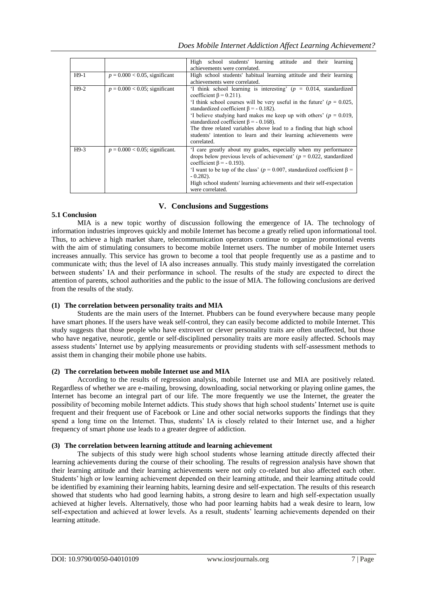|        |                                   | High school students' learning attitude and their learning                                                                                                                                                                                                                                                                                                                                                                                                                                                               |
|--------|-----------------------------------|--------------------------------------------------------------------------------------------------------------------------------------------------------------------------------------------------------------------------------------------------------------------------------------------------------------------------------------------------------------------------------------------------------------------------------------------------------------------------------------------------------------------------|
|        |                                   | achievements were correlated.                                                                                                                                                                                                                                                                                                                                                                                                                                                                                            |
| $H9-1$ | $p = 0.000 < 0.05$ , significant  | High school students' habitual learning attitude and their learning                                                                                                                                                                                                                                                                                                                                                                                                                                                      |
|        |                                   | achievements were correlated.                                                                                                                                                                                                                                                                                                                                                                                                                                                                                            |
| $H9-2$ | $p = 0.000 < 0.05$ ; significant  | 'I think school learning is interesting' $(p = 0.014$ , standardized<br>coefficient $\beta$ = 0.211).<br>I think school courses will be very useful in the future' ( $p = 0.025$ ,<br>standardized coefficient $\beta$ = - 0.182).<br>'I believe studying hard makes me keep up with others' ( $p = 0.019$ ,<br>standardized coefficient $\beta$ = - 0.168).<br>The three related variables above lead to a finding that high school<br>students' intention to learn and their learning achievements were<br>correlated. |
| $H9-3$ | $p = 0.000 < 0.05$ ; significant. | I care greatly about my grades, especially when my performance<br>drops below previous levels of achievement' ( $p = 0.022$ , standardized<br>coefficient $\beta$ = - 0.193).<br>'I want to be top of the class' ( $p = 0.007$ , standardized coefficient $\beta =$<br>$-0.282$ ).<br>High school students' learning achievements and their self-expectation<br>were correlated.                                                                                                                                         |

# **V. Conclusions and Suggestions**

## **5.1 Conclusion**

MIA is a new topic worthy of discussion following the emergence of IA. The technology of information industries improves quickly and mobile Internet has become a greatly relied upon informational tool. Thus, to achieve a high market share, telecommunication operators continue to organize promotional events with the aim of stimulating consumers to become mobile Internet users. The number of mobile Internet users increases annually. This service has grown to become a tool that people frequently use as a pastime and to communicate with; thus the level of IA also increases annually. This study mainly investigated the correlation between students' IA and their performance in school. The results of the study are expected to direct the attention of parents, school authorities and the public to the issue of MIA. The following conclusions are derived from the results of the study.

## **(1) The correlation between personality traits and MIA**

Students are the main users of the Internet. Phubbers can be found everywhere because many people have smart phones. If the users have weak self-control, they can easily become addicted to mobile Internet. This study suggests that those people who have extrovert or clever personality traits are often unaffected, but those who have negative, neurotic, gentle or self-disciplined personality traits are more easily affected. Schools may assess students' Internet use by applying measurements or providing students with self-assessment methods to assist them in changing their mobile phone use habits.

#### **(2) The correlation between mobile Internet use and MIA**

According to the results of regression analysis, mobile Internet use and MIA are positively related. Regardless of whether we are e-mailing, browsing, downloading, social networking or playing online games, the Internet has become an integral part of our life. The more frequently we use the Internet, the greater the possibility of becoming mobile Internet addicts. This study shows that high school students' Internet use is quite frequent and their frequent use of Facebook or Line and other social networks supports the findings that they spend a long time on the Internet. Thus, students' IA is closely related to their Internet use, and a higher frequency of smart phone use leads to a greater degree of addiction.

## **(3) The correlation between learning attitude and learning achievement**

The subjects of this study were high school students whose learning attitude directly affected their learning achievements during the course of their schooling. The results of regression analysis have shown that their learning attitude and their learning achievements were not only co-related but also affected each other. Students' high or low learning achievement depended on their learning attitude, and their learning attitude could be identified by examining their learning habits, learning desire and self-expectation. The results of this research showed that students who had good learning habits, a strong desire to learn and high self-expectation usually achieved at higher levels. Alternatively, those who had poor learning habits had a weak desire to learn, low self-expectation and achieved at lower levels. As a result, students' learning achievements depended on their learning attitude.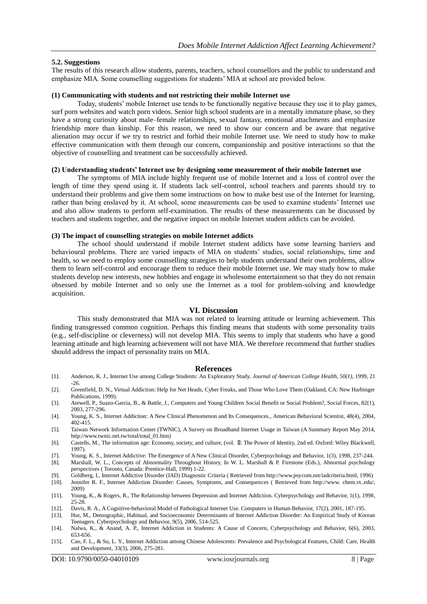#### **5.2. Suggestions**

The results of this research allow students, parents, teachers, school counsellors and the public to understand and emphasize MIA. Some counselling suggestions for students' MIA at school are provided below.

#### **(1) Communicating with students and not restricting their mobile Internet use**

Today, students' mobile Internet use tends to be functionally negative because they use it to play games, surf porn websites and watch porn videos. Senior high school students are in a mentally immature phase, so they have a strong curiosity about male–female relationships, sexual fantasy, emotional attachments and emphasize friendship more than kinship. For this reason, we need to show our concern and be aware that negative alienation may occur if we try to restrict and forbid their mobile Internet use. We need to study how to make effective communication with them through our concern, companionship and positive interactions so that the objective of counselling and treatment can be successfully achieved.

## **(2) Understanding students' Internet use by designing some measurement of their mobile Internet use**

The symptoms of MIA include highly frequent use of mobile Internet and a loss of control over the length of time they spend using it. If students lack self-control, school teachers and parents should try to understand their problems and give them some instructions on how to make best use of the Internet for learning, rather than being enslaved by it. At school, some measurements can be used to examine students' Internet use and also allow students to perform self-examination. The results of these measurements can be discussed by teachers and students together, and the negative impact on mobile Internet student addicts can be avoided.

#### **(3) The impact of counselling strategies on mobile Internet addicts**

The school should understand if mobile Internet student addicts have some learning barriers and behavioural problems. There are varied impacts of MIA on students' studies, social relationships, time and health, so we need to employ some counselling strategies to help students understand their own problems, allow them to learn self-control and encourage them to reduce their mobile Internet use. We may study how to make students develop new interests, new hobbies and engage in wholesome entertainment so that they do not remain obsessed by mobile Internet and so only use the Internet as a tool for problem-solving and knowledge acquisition.

#### **VI. Discussion**

This study demonstrated that MIA was not related to learning attitude or learning achievement. This finding transgressed common cognition. Perhaps this finding means that students with some personality traits (e.g., self-discipline or cleverness) will not develop MIA. This seems to imply that students who have a good learning attitude and high learning achievement will not have MIA. We therefore recommend that further studies should address the impact of personality traits on MIA.

#### **References**

- [1]. Anderson, K. J., Internet Use among College Students: An Exploratory Study. *Journal of American College Health, 50(1)*, 1999, 21 -26.
- [2]. Greenfield, D. N., Virtual Addiction: Help for Net Heads, Cyber Freaks, and Those Who Love Them (Oakland, CA: New Harbinger Publications, 1999).
- [3]. Atewell, P., Suazo-Garcia, B., & Battle, J., Computers and Young Children Social Benefit or Social Problem?, Social Forces, 82(1), 2003, 277-296.
- [4]. Young, K. S., Internet Addiction: A New Clinical Phenomenon and Its Consequences., American Behavioral Scientist, 48(4), 2004, 402-415.
- [5]. Taiwan Network Information Center (TWNIC), A Survey on Broadband Internet Usage in Taiwan (A Summary Report May 2014, http://www.twnic.net.tw/total/total\_01.htm)
- [6]. Castells, M., The information age: Economy, society, and culture, (vol. Ⅱ: The Power of Identity, 2nd ed. Oxford: Wiley Blackwell, 1997).
- [7]. Young, K. S., Internet Addictive: The Emergence of A New Clinical Disorder, Cyberpsychology and Behavior, 1(3), 1998, 237-244.
- [8]. Marshall, W. L., Concepts of Abnormality Throughout History, In W. L. Marshall & P. Firestone (Eds.), Abnormal psychology perspectives ( Toronto, Canada: Prentice-Hall, 1999) 1-22.
- [9]. Goldberg, I., Internet Addictive Disorder (IAD) Diagnostic Criteria ( Retrieved from http://www.psycom.net/iadcriteria.html, 1996) [10]. Jennifer R. F., Internet Addiction Disorder: Causes, Symptoms, and Consequences ( Retrieved from http://www. chem.vt..edu/, 2009)
- [11]. Young, K., & Rogers, R., The Relationship between Depression and Internet Addiction. Cyberpsychology and Behavior, 1(1), 1998, 25-28.
- [12]. Davis, R. A., A Cognitive-behavioral Model of Pathological Internet Use. Computers in Human Behavior, 17(2), 2001, 187-195.
- [13]. Hur, M., Demographic, Habitual, and Socioeconomic Determinants of Internet Addiction Disorder: An Empirical Study of Korean Teenagers. Cyberpsychology and Behavior, 9(5), 2006, 514-525.
- [14]. Nalwa, K., & Anand, A. P., Internet Addiction in Students: A Cause of Concern, Cyberpsychology and Behavior, 6(6), 2003, 653-656.
- [15]. Cao, F. L., & Su, L. Y., Internet Addiction among Chinese Adolescents: Prevalence and Psychological Features, Child: Care, Health and Development, 33(3), 2006, 275-281.